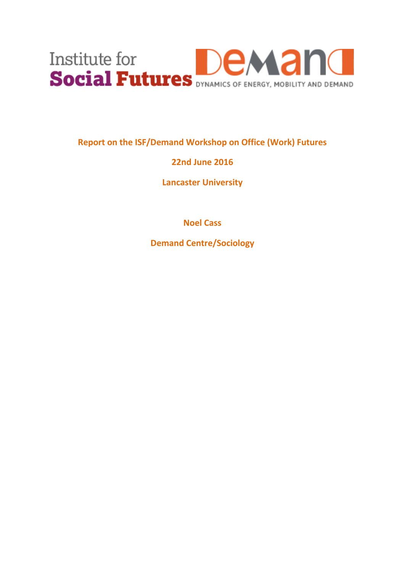

**Report on the ISF/Demand Workshop on Office (Work) Futures**

# **22nd June 2016**

**Lancaster University**

**Noel Cass**

**Demand Centre/Sociology**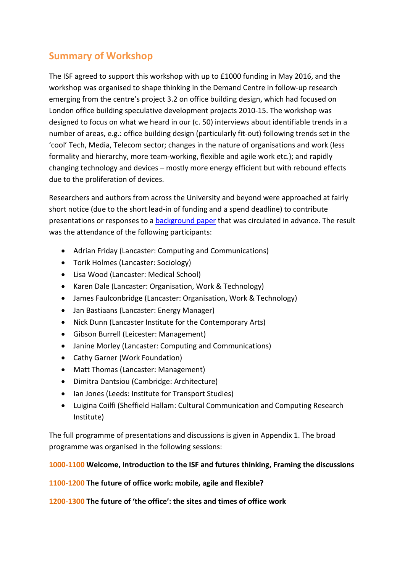# **Summary of Workshop**

The ISF agreed to support this workshop with up to £1000 funding in May 2016, and the workshop was organised to shape thinking in the Demand Centre in follow-up research emerging from the centre's project 3.2 on office building design, which had focused on London office building speculative development projects 2010-15. The workshop was designed to focus on what we heard in our (c. 50) interviews about identifiable trends in a number of areas, e.g.: office building design (particularly fit-out) following trends set in the 'cool' Tech, Media, Telecom sector; changes in the nature of organisations and work (less formality and hierarchy, more team-working, flexible and agile work etc.); and rapidly changing technology and devices – mostly more energy efficient but with rebound effects due to the proliferation of devices.

Researchers and authors from across the University and beyond were approached at fairly short notice (due to the short lead-in of funding and a spend deadline) to contribute presentations or responses to a [background paper](http://www.demand.ac.uk/wp-content/uploads/2016/07/Background-paper-Office-Work-Futures.pdf) that was circulated in advance. The result was the attendance of the following participants:

- Adrian Friday (Lancaster: Computing and Communications)
- Torik Holmes (Lancaster: Sociology)
- Lisa Wood (Lancaster: Medical School)
- Karen Dale (Lancaster: Organisation, Work & Technology)
- James Faulconbridge (Lancaster: Organisation, Work & Technology)
- Jan Bastiaans (Lancaster: Energy Manager)
- Nick Dunn (Lancaster Institute for the Contemporary Arts)
- Gibson Burrell (Leicester: Management)
- Janine Morley (Lancaster: Computing and Communications)
- Cathy Garner (Work Foundation)
- Matt Thomas (Lancaster: Management)
- Dimitra Dantsiou (Cambridge: Architecture)
- Ian Jones (Leeds: Institute for Transport Studies)
- Luigina Coilfi (Sheffield Hallam: Cultural Communication and Computing Research Institute)

The full programme of presentations and discussions is given in Appendix 1. The broad programme was organised in the following sessions:

## **1000-1100 Welcome, Introduction to the ISF and futures thinking, Framing the discussions**

**1100-1200 The future of office work: mobile, agile and flexible?** 

**1200-1300 The future of 'the office': the sites and times of office work**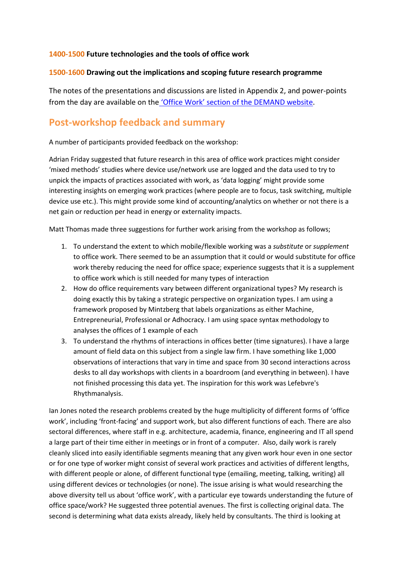## **1400-1500 Future technologies and the tools of office work**

### **1500-1600 Drawing out the implications and scoping future research programme**

The notes of the presentations and discussions are listed in Appendix 2, and power-points from the day are available on the ['Office Work' section of the](http://www.demand.ac.uk/workshop-office-work-futures-presentations/) DEMAND website.

## **Post-workshop feedback and summary**

A number of participants provided feedback on the workshop:

Adrian Friday suggested that future research in this area of office work practices might consider 'mixed methods' studies where device use/network use are logged and the data used to try to unpick the impacts of practices associated with work, as 'data logging' might provide some interesting insights on emerging work practices (where people are to focus, task switching, multiple device use etc.). This might provide some kind of accounting/analytics on whether or not there is a net gain or reduction per head in energy or externality impacts.

Matt Thomas made three suggestions for further work arising from the workshop as follows;

- 1. To understand the extent to which mobile/flexible working was a *substitute* or *supplement* to office work. There seemed to be an assumption that it could or would substitute for office work thereby reducing the need for office space; experience suggests that it is a supplement to office work which is still needed for many types of interaction
- 2. How do office requirements vary between different organizational types? My research is doing exactly this by taking a strategic perspective on organization types. I am using a framework proposed by Mintzberg that labels organizations as either Machine, Entrepreneurial, Professional or Adhocracy. I am using space syntax methodology to analyses the offices of 1 example of each
- 3. To understand the rhythms of interactions in offices better (time signatures). I have a large amount of field data on this subject from a single law firm. I have something like 1,000 observations of interactions that vary in time and space from 30 second interactions across desks to all day workshops with clients in a boardroom (and everything in between). I have not finished processing this data yet. The inspiration for this work was Lefebvre's Rhythmanalysis.

Ian Jones noted the research problems created by the huge multiplicity of different forms of 'office work', including 'front-facing' and support work, but also different functions of each. There are also sectoral differences, where staff in e.g. architecture, academia, finance, engineering and IT all spend a large part of their time either in meetings or in front of a computer. Also, daily work is rarely cleanly sliced into easily identifiable segments meaning that any given work hour even in one sector or for one type of worker might consist of several work practices and activities of different lengths, with different people or alone, of different functional type (emailing, meeting, talking, writing) all using different devices or technologies (or none). The issue arising is what would researching the above diversity tell us about 'office work', with a particular eye towards understanding the future of office space/work? He suggested three potential avenues. The first is collecting original data. The second is determining what data exists already, likely held by consultants. The third is looking at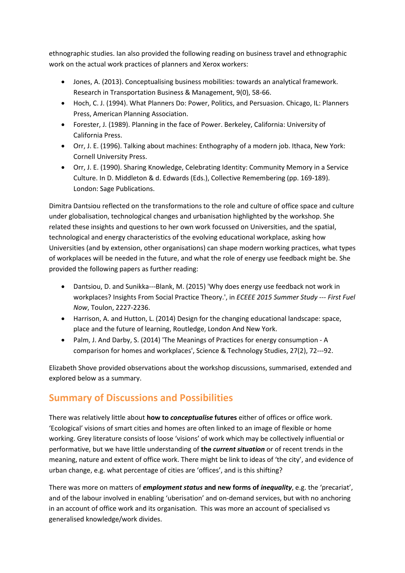ethnographic studies. Ian also provided the following reading on business travel and ethnographic work on the actual work practices of planners and Xerox workers:

- Jones, A. (2013). Conceptualising business mobilities: towards an analytical framework. Research in Transportation Business & Management, 9(0), 58-66.
- Hoch, C. J. (1994). What Planners Do: Power, Politics, and Persuasion. Chicago, IL: Planners Press, American Planning Association.
- Forester, J. (1989). Planning in the face of Power. Berkeley, California: University of California Press.
- Orr, J. E. (1996). Talking about machines: Enthography of a modern job. Ithaca, New York: Cornell University Press.
- Orr, J. E. (1990). Sharing Knowledge, Celebrating Identity: Community Memory in a Service Culture. In D. Middleton & d. Edwards (Eds.), Collective Remembering (pp. 169-189). London: Sage Publications.

Dimitra Dantsiou reflected on the transformations to the role and culture of office space and culture under globalisation, technological changes and urbanisation highlighted by the workshop. She related these insights and questions to her own work focussed on Universities, and the spatial, technological and energy characteristics of the evolving educational workplace, asking how Universities (and by extension, other organisations) can shape modern working practices, what types of workplaces will be needed in the future, and what the role of energy use feedback might be. She provided the following papers as further reading:

- Dantsiou, D. and Sunikka---Blank, M. (2015) 'Why does energy use feedback not work in workplaces? Insights From Social Practice Theory.', in *ECEEE 2015 Summer Study --- First Fuel Now*, Toulon, 2227-2236.
- Harrison, A. and Hutton, L. (2014) Design for the changing educational landscape: space, place and the future of learning, Routledge, London And New York.
- Palm, J. And Darby, S. (2014) 'The Meanings of Practices for energy consumption A comparison for homes and workplaces', Science & Technology Studies, 27(2), 72---92.

Elizabeth Shove provided observations about the workshop discussions, summarised, extended and explored below as a summary.

## **Summary of Discussions and Possibilities**

There was relatively little about **how to** *conceptualise* **futures** either of offices or office work. 'Ecological' visions of smart cities and homes are often linked to an image of flexible or home working. Grey literature consists of loose 'visions' of work which may be collectively influential or performative, but we have little understanding of **the** *current situation* or of recent trends in the meaning, nature and extent of office work. There might be link to ideas of 'the city', and evidence of urban change, e.g. what percentage of cities are 'offices', and is this shifting?

There was more on matters of *employment status* **and new forms of** *inequality*, e.g. the 'precariat', and of the labour involved in enabling 'uberisation' and on-demand services, but with no anchoring in an account of office work and its organisation. This was more an account of specialised vs generalised knowledge/work divides.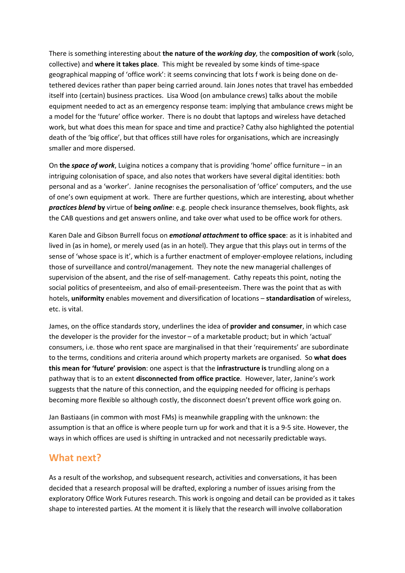There is something interesting about **the nature of the** *working day*, the **composition of work** (solo, collective) and **where it takes place**. This might be revealed by some kinds of time-space geographical mapping of 'office work': it seems convincing that lots f work is being done on detethered devices rather than paper being carried around. Iain Jones notes that travel has embedded itself into (certain) business practices. Lisa Wood (on ambulance crews) talks about the mobile equipment needed to act as an emergency response team: implying that ambulance crews might be a model for the 'future' office worker. There is no doubt that laptops and wireless have detached work, but what does this mean for space and time and practice? Cathy also highlighted the potential death of the 'big office', but that offices still have roles for organisations, which are increasingly smaller and more dispersed.

On **the** *space of work*, Luigina notices a company that is providing 'home' office furniture – in an intriguing colonisation of space, and also notes that workers have several digital identities: both personal and as a 'worker'. Janine recognises the personalisation of 'office' computers, and the use of one's own equipment at work. There are further questions, which are interesting, about whether *practices blend* **by** virtue of **being** *online*: e.g. people check insurance themselves, book flights, ask the CAB questions and get answers online, and take over what used to be office work for others.

Karen Dale and Gibson Burrell focus on *emotional attachment* **to office space**: as it is inhabited and lived in (as in home), or merely used (as in an hotel). They argue that this plays out in terms of the sense of 'whose space is it', which is a further enactment of employer-employee relations, including those of surveillance and control/management. They note the new managerial challenges of supervision of the absent, and the rise of self-management. Cathy repeats this point, noting the social politics of presenteeism, and also of email-presenteeism. There was the point that as with hotels, **uniformity** enables movement and diversification of locations – **standardisation** of wireless, etc. is vital.

James, on the office standards story, underlines the idea of **provider and consumer**, in which case the developer is the provider for the investor – of a marketable product; but in which 'actual' consumers, i.e. those who rent space are marginalised in that their 'requirements' are subordinate to the terms, conditions and criteria around which property markets are organised. So **what does this mean for 'future' provision**: one aspect is that the **infrastructure is** trundling along on a pathway that is to an extent **disconnected from office practice**. However, later, Janine's work suggests that the nature of this connection, and the equipping needed for officing is perhaps becoming more flexible so although costly, the disconnect doesn't prevent office work going on.

Jan Bastiaans (in common with most FMs) is meanwhile grappling with the unknown: the assumption is that an office is where people turn up for work and that it is a 9-5 site. However, the ways in which offices are used is shifting in untracked and not necessarily predictable ways.

## **What next?**

As a result of the workshop, and subsequent research, activities and conversations, it has been decided that a research proposal will be drafted, exploring a number of issues arising from the exploratory Office Work Futures research. This work is ongoing and detail can be provided as it takes shape to interested parties. At the moment it is likely that the research will involve collaboration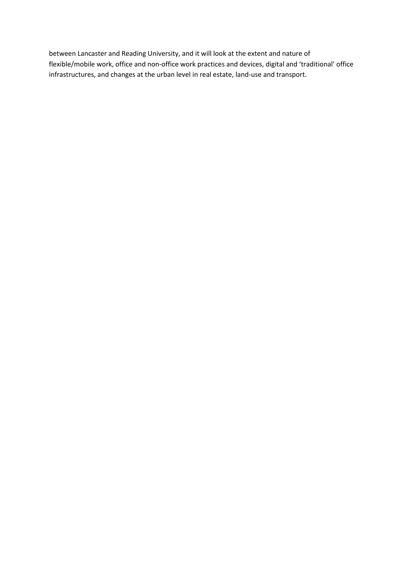between Lancaster and Reading University, and it will look at the extent and nature of flexible/mobile work, office and non-office work practices and devices, digital and 'traditional' office infrastructures, and changes at the urban level in real estate, land-use and transport.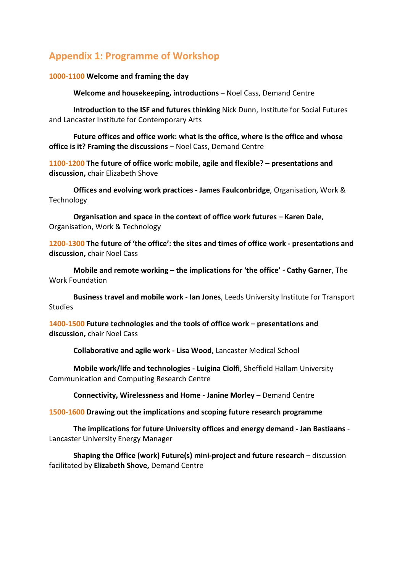# **Appendix 1: Programme of Workshop**

### **1000-1100 Welcome and framing the day**

**Welcome and housekeeping, introductions** – Noel Cass, Demand Centre

**Introduction to the ISF and futures thinking** Nick Dunn, Institute for Social Futures and Lancaster Institute for Contemporary Arts

**Future offices and office work: what is the office, where is the office and whose office is it? Framing the discussions** – Noel Cass, Demand Centre

**1100-1200 The future of office work: mobile, agile and flexible? – presentations and discussion,** chair Elizabeth Shove

**Offices and evolving work practices - James Faulconbridge**, Organisation, Work & Technology

**Organisation and space in the context of office work futures – Karen Dale**, Organisation, Work & Technology

**1200-1300 The future of 'the office': the sites and times of office work - presentations and discussion,** chair Noel Cass

**Mobile and remote working – the implications for 'the office' - Cathy Garner**, The Work Foundation

**Business travel and mobile work** - **Ian Jones**, Leeds University Institute for Transport Studies

**1400-1500 Future technologies and the tools of office work – presentations and discussion,** chair Noel Cass

**Collaborative and agile work - Lisa Wood**, Lancaster Medical School

**Mobile work/life and technologies - Luigina Ciolfi**, Sheffield Hallam University Communication and Computing Research Centre

**Connectivity, Wirelessness and Home - Janine Morley** – Demand Centre

**1500-1600 Drawing out the implications and scoping future research programme**

**The implications for future University offices and energy demand - Jan Bastiaans** - Lancaster University Energy Manager

**Shaping the Office (work) Future(s) mini-project and future research** – discussion facilitated by **Elizabeth Shove,** Demand Centre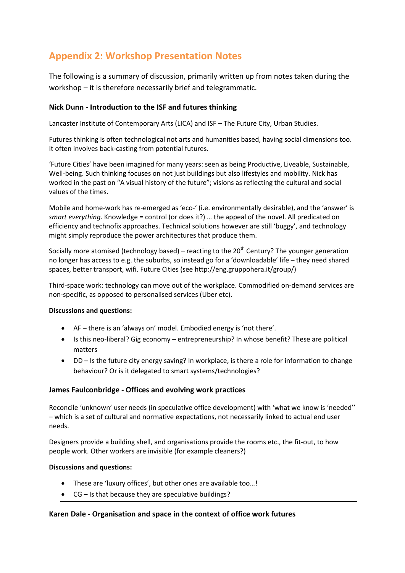# **Appendix 2: Workshop Presentation Notes**

The following is a summary of discussion, primarily written up from notes taken during the workshop – it is therefore necessarily brief and telegrammatic.

## **Nick Dunn - Introduction to the ISF and futures thinking**

Lancaster Institute of Contemporary Arts (LICA) and ISF – The Future City, Urban Studies.

Futures thinking is often technological not arts and humanities based, having social dimensions too. It often involves back-casting from potential futures.

'Future Cities' have been imagined for many years: seen as being Productive, Liveable, Sustainable, Well-being. Such thinking focuses on not just buildings but also lifestyles and mobility. Nick has worked in the past on "A visual history of the future"; visions as reflecting the cultural and social values of the times.

Mobile and home-work has re-emerged as 'eco-' (i.e. environmentally desirable), and the 'answer' is *smart everything*. Knowledge = control (or does it?) … the appeal of the novel. All predicated on efficiency and technofix approaches. Technical solutions however are still 'buggy', and technology might simply reproduce the power architectures that produce them.

Socially more atomised (technology based) – reacting to the  $20<sup>th</sup>$  Century? The younger generation no longer has access to e.g. the suburbs, so instead go for a 'downloadable' life – they need shared spaces, better transport, wifi. Future Cities (see http://eng.gruppohera.it/group/)

Third-space work: technology can move out of the workplace. Commodified on-demand services are non-specific, as opposed to personalised services (Uber etc).

#### **Discussions and questions:**

- AF there is an 'always on' model. Embodied energy is 'not there'.
- Is this neo-liberal? Gig economy entrepreneurship? In whose benefit? These are political matters
- DD Is the future city energy saving? In workplace, is there a role for information to change behaviour? Or is it delegated to smart systems/technologies?

### **James Faulconbridge - Offices and evolving work practices**

Reconcile 'unknown' user needs (in speculative office development) with 'what we know is 'needed'' – which is a set of cultural and normative expectations, not necessarily linked to actual end user needs.

Designers provide a building shell, and organisations provide the rooms etc., the fit-out, to how people work. Other workers are invisible (for example cleaners?)

### **Discussions and questions:**

- These are 'luxury offices', but other ones are available too…!
- $CG Is that because they are speculative buildings?$

### **Karen Dale - Organisation and space in the context of office work futures**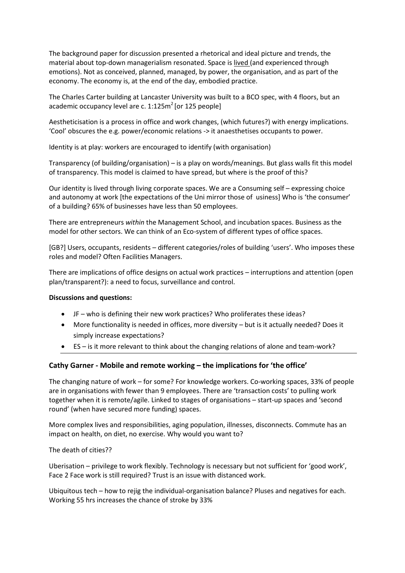The background paper for discussion presented a rhetorical and ideal picture and trends, the material about top-down managerialism resonated. Space is lived (and experienced through emotions). Not as conceived, planned, managed, by power, the organisation, and as part of the economy. The economy is, at the end of the day, embodied practice.

The Charles Carter building at Lancaster University was built to a BCO spec, with 4 floors, but an academic occupancy level are c.  $1:125\text{m}^2$  [or 125 people]

Aestheticisation is a process in office and work changes, (which futures?) with energy implications. 'Cool' obscures the e.g. power/economic relations -> it anaesthetises occupants to power.

Identity is at play: workers are encouraged to identify (with organisation)

Transparency (of building/organisation) – is a play on words/meanings. But glass walls fit this model of transparency. This model is claimed to have spread, but where is the proof of this?

Our identity is lived through living corporate spaces. We are a Consuming self – expressing choice and autonomy at work [the expectations of the Uni mirror those of usiness] Who is 'the consumer' of a building? 65% of businesses have less than 50 employees.

There are entrepreneurs *within* the Management School, and incubation spaces. Business as the model for other sectors. We can think of an Eco-system of different types of office spaces.

[GB?] Users, occupants, residents – different categories/roles of building 'users'. Who imposes these roles and model? Often Facilities Managers.

There are implications of office designs on actual work practices – interruptions and attention (open plan/transparent?): a need to focus, surveillance and control.

#### **Discussions and questions:**

- JF who is defining their new work practices? Who proliferates these ideas?
- More functionality is needed in offices, more diversity but is it actually needed? Does it simply increase expectations?
- ES is it more relevant to think about the changing relations of alone and team-work?

#### **Cathy Garner - Mobile and remote working – the implications for 'the office'**

The changing nature of work – for some? For knowledge workers. Co-working spaces, 33% of people are in organisations with fewer than 9 employees. There are 'transaction costs' to pulling work together when it is remote/agile. Linked to stages of organisations – start-up spaces and 'second round' (when have secured more funding) spaces.

More complex lives and responsibilities, aging population, illnesses, disconnects. Commute has an impact on health, on diet, no exercise. Why would you want to?

The death of cities??

Uberisation – privilege to work flexibly. Technology is necessary but not sufficient for 'good work', Face 2 Face work is still required? Trust is an issue with distanced work.

Ubiquitous tech – how to rejig the individual-organisation balance? Pluses and negatives for each. Working 55 hrs increases the chance of stroke by 33%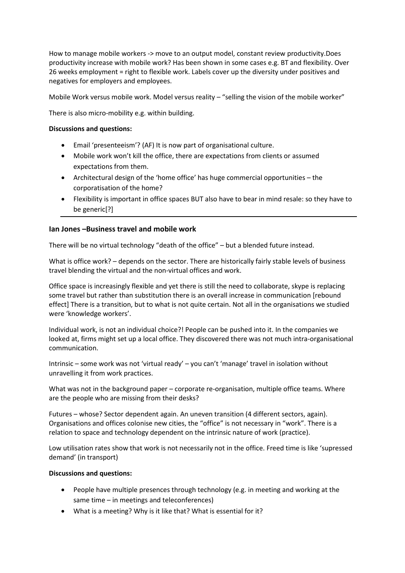How to manage mobile workers -> move to an output model, constant review productivity.Does productivity increase with mobile work? Has been shown in some cases e.g. BT and flexibility. Over 26 weeks employment = right to flexible work. Labels cover up the diversity under positives and negatives for employers and employees.

Mobile Work versus mobile work. Model versus reality – "selling the vision of the mobile worker"

There is also micro-mobility e.g. within building.

#### **Discussions and questions:**

- Email 'presenteeism'? (AF) It is now part of organisational culture.
- Mobile work won't kill the office, there are expectations from clients or assumed expectations from them.
- Architectural design of the 'home office' has huge commercial opportunities the corporatisation of the home?
- Flexibility is important in office spaces BUT also have to bear in mind resale: so they have to be generic[?]

#### **Ian Jones –Business travel and mobile work**

There will be no virtual technology "death of the office" – but a blended future instead.

What is office work? – depends on the sector. There are historically fairly stable levels of business travel blending the virtual and the non-virtual offices and work.

Office space is increasingly flexible and yet there is still the need to collaborate, skype is replacing some travel but rather than substitution there is an overall increase in communication [rebound effect] There is a transition, but to what is not quite certain. Not all in the organisations we studied were 'knowledge workers'.

Individual work, is not an individual choice?! People can be pushed into it. In the companies we looked at, firms might set up a local office. They discovered there was not much intra-organisational communication.

Intrinsic – some work was not 'virtual ready' – you can't 'manage' travel in isolation without unravelling it from work practices.

What was not in the background paper – corporate re-organisation, multiple office teams. Where are the people who are missing from their desks?

Futures – whose? Sector dependent again. An uneven transition (4 different sectors, again). Organisations and offices colonise new cities, the "office" is not necessary in "work". There is a relation to space and technology dependent on the intrinsic nature of work (practice).

Low utilisation rates show that work is not necessarily not in the office. Freed time is like 'supressed demand' (in transport)

#### **Discussions and questions:**

- People have multiple presences through technology (e.g. in meeting and working at the same time – in meetings and teleconferences)
- What is a meeting? Why is it like that? What is essential for it?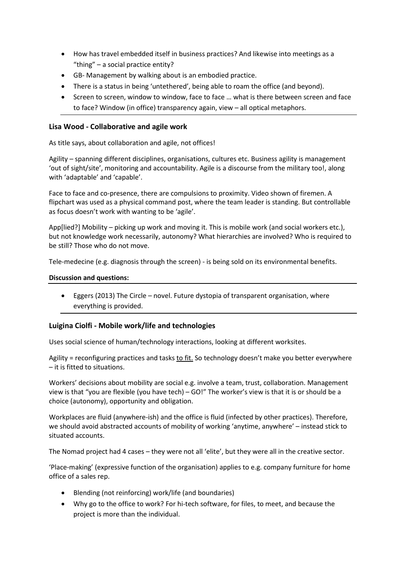- How has travel embedded itself in business practices? And likewise into meetings as a "thing" – a social practice entity?
- GB- Management by walking about is an embodied practice.
- There is a status in being 'untethered', being able to roam the office (and beyond).
- Screen to screen, window to window, face to face … what is there between screen and face to face? Window (in office) transparency again, view – all optical metaphors.

### **Lisa Wood - Collaborative and agile work**

As title says, about collaboration and agile, not offices!

Agility – spanning different disciplines, organisations, cultures etc. Business agility is management 'out of sight/site', monitoring and accountability. Agile is a discourse from the military too!, along with 'adaptable' and 'capable'.

Face to face and co-presence, there are compulsions to proximity. Video shown of firemen. A flipchart was used as a physical command post, where the team leader is standing. But controllable as focus doesn't work with wanting to be 'agile'.

App[lied?] Mobility – picking up work and moving it. This is mobile work (and social workers etc.), but not knowledge work necessarily, autonomy? What hierarchies are involved? Who is required to be still? Those who do not move.

Tele-medecine (e.g. diagnosis through the screen) - is being sold on its environmental benefits.

#### **Discussion and questions:**

• Eggers (2013) The Circle – novel. Future dystopia of transparent organisation, where everything is provided.

### **Luigina Ciolfi - Mobile work/life and technologies**

Uses social science of human/technology interactions, looking at different worksites.

Agility = reconfiguring practices and tasks to fit. So technology doesn't make you better everywhere – it is fitted to situations.

Workers' decisions about mobility are social e.g. involve a team, trust, collaboration. Management view is that "you are flexible (you have tech) – GO!" The worker's view is that it is or should be a choice (autonomy), opportunity and obligation.

Workplaces are fluid (anywhere-ish) and the office is fluid (infected by other practices). Therefore, we should avoid abstracted accounts of mobility of working 'anytime, anywhere' – instead stick to situated accounts.

The Nomad project had 4 cases – they were not all 'elite', but they were all in the creative sector.

'Place-making' (expressive function of the organisation) applies to e.g. company furniture for home office of a sales rep.

- Blending (not reinforcing) work/life (and boundaries)
- Why go to the office to work? For hi-tech software, for files, to meet, and because the project is more than the individual.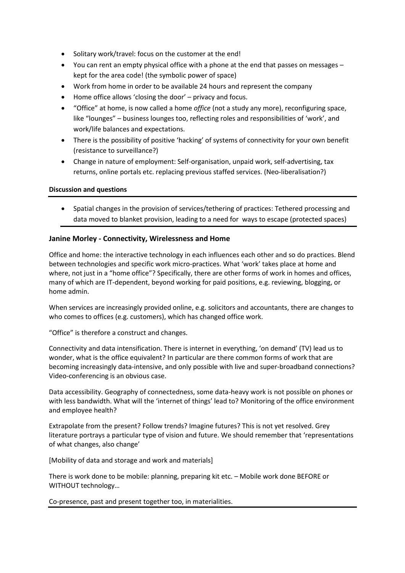- Solitary work/travel: focus on the customer at the end!
- You can rent an empty physical office with a phone at the end that passes on messages kept for the area code! (the symbolic power of space)
- Work from home in order to be available 24 hours and represent the company
- Home office allows 'closing the door' privacy and focus.
- "Office" at home, is now called a home *office* (not a study any more), reconfiguring space, like "lounges" – business lounges too, reflecting roles and responsibilities of 'work', and work/life balances and expectations.
- There is the possibility of positive 'hacking' of systems of connectivity for your own benefit (resistance to surveillance?)
- Change in nature of employment: Self-organisation, unpaid work, self-advertising, tax returns, online portals etc. replacing previous staffed services. (Neo-liberalisation?)

#### **Discussion and questions**

• Spatial changes in the provision of services/tethering of practices: Tethered processing and data moved to blanket provision, leading to a need for ways to escape (protected spaces)

### **Janine Morley - Connectivity, Wirelessness and Home**

Office and home: the interactive technology in each influences each other and so do practices. Blend between technologies and specific work micro-practices. What 'work' takes place at home and where, not just in a "home office"? Specifically, there are other forms of work in homes and offices, many of which are IT-dependent, beyond working for paid positions, e.g. reviewing, blogging, or home admin.

When services are increasingly provided online, e.g. solicitors and accountants, there are changes to who comes to offices (e.g. customers), which has changed office work.

"Office" is therefore a construct and changes.

Connectivity and data intensification. There is internet in everything, 'on demand' (TV) lead us to wonder, what is the office equivalent? In particular are there common forms of work that are becoming increasingly data-intensive, and only possible with live and super-broadband connections? Video-conferencing is an obvious case.

Data accessibility. Geography of connectedness, some data-heavy work is not possible on phones or with less bandwidth. What will the 'internet of things' lead to? Monitoring of the office environment and employee health?

Extrapolate from the present? Follow trends? Imagine futures? This is not yet resolved. Grey literature portrays a particular type of vision and future. We should remember that 'representations of what changes, also change'

[Mobility of data and storage and work and materials]

There is work done to be mobile: planning, preparing kit etc. – Mobile work done BEFORE or WITHOUT technology…

Co-presence, past and present together too, in materialities.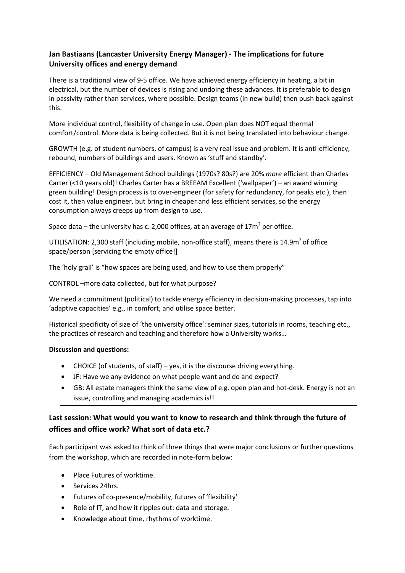## **Jan Bastiaans (Lancaster University Energy Manager) - The implications for future University offices and energy demand**

There is a traditional view of 9-5 office. We have achieved energy efficiency in heating, a bit in electrical, but the number of devices is rising and undoing these advances. It is preferable to design in passivity rather than services, where possible. Design teams (in new build) then push back against this.

More individual control, flexibility of change in use. Open plan does NOT equal thermal comfort/control. More data is being collected. But it is not being translated into behaviour change.

GROWTH (e.g. of student numbers, of campus) is a very real issue and problem. It is anti-efficiency, rebound, numbers of buildings and users. Known as 'stuff and standby'.

EFFICIENCY – Old Management School buildings (1970s? 80s?) are 20% *more* efficient than Charles Carter (<10 years old)! Charles Carter has a BREEAM Excellent ('wallpaper') – an award winning green building! Design process is to over-engineer (for safety for redundancy, for peaks etc.), then cost it, then value engineer, but bring in cheaper and less efficient services, so the energy consumption always creeps up from design to use.

Space data – the university has c. 2,000 offices, at an average of  $17m^2$  per office.

UTILISATION: 2,300 staff (including mobile, non-office staff), means there is 14.9m<sup>2</sup> of office space/person [servicing the empty office!]

The 'holy grail' is "how spaces are being used, and how to use them properly"

CONTROL –more data collected, but for what purpose?

We need a commitment (political) to tackle energy efficiency in decision-making processes, tap into 'adaptive capacities' e.g., in comfort, and utilise space better.

Historical specificity of size of 'the university office': seminar sizes, tutorials in rooms, teaching etc., the practices of research and teaching and therefore how a University works…

#### **Discussion and questions:**

- CHOICE (of students, of staff) yes, it is the discourse driving everything.
- JF: Have we any evidence on what people want and do and expect?
- GB: All estate managers think the same view of e.g. open plan and hot-desk. Energy is not an issue, controlling and managing academics is!!

## **Last session: What would you want to know to research and think through the future of offices and office work? What sort of data etc.?**

Each participant was asked to think of three things that were major conclusions or further questions from the workshop, which are recorded in note-form below:

- Place Futures of worktime.
- Services 24hrs.
- Futures of co-presence/mobility, futures of 'flexibility'
- Role of IT, and how it ripples out: data and storage.
- Knowledge about time, rhythms of worktime.